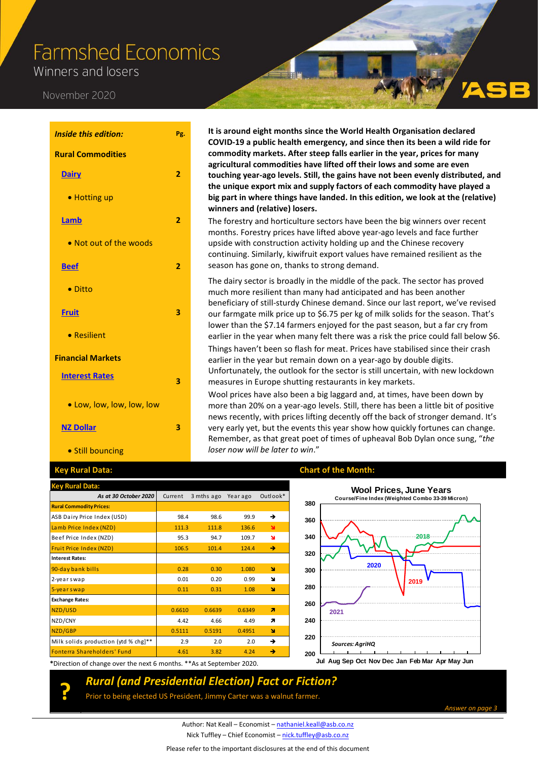# **Farmshed Economics**

Winners and losers

#### November 2020

| <b>Inside this edition:</b> | Pg.            |
|-----------------------------|----------------|
| <b>Rural Commodities</b>    |                |
| <b>Dairy</b>                | $\overline{2}$ |
| • Hotting up                |                |
| <b>Lamb</b>                 | 2              |
| . Not out of the woods      |                |
| <b>Beef</b>                 | $\overline{2}$ |
| • Ditto                     |                |
| <b>Fruit</b>                | 3              |
| • Resilient                 |                |
| <b>Financial Markets</b>    |                |
| <b>Interest Rates</b>       | 3              |
| . Low, low, low, low, low   |                |
| <b>NZ Dollar</b>            | 3              |
| • Still bouncing            |                |

**?**

#### **It is around eight months since the World Health Organisation declared COVID-19 a public health emergency, and since then its been a wild ride for commodity markets. After steep falls earlier in the year, prices for many agricultural commodities have lifted off their lows and some are even touching year-ago levels. Still, the gains have not been evenly distributed, and the unique export mix and supply factors of each commodity have played a big part in where things have landed. In this edition, we look at the (relative) winners and (relative) losers.**

The forestry and horticulture sectors have been the big winners over recent months. Forestry prices have lifted above year-ago levels and face further upside with construction activity holding up and the Chinese recovery continuing. Similarly, kiwifruit export values have remained resilient as the season has gone on, thanks to strong demand.

The dairy sector is broadly in the middle of the pack. The sector has proved much more resilient than many had anticipated and has been another beneficiary of still-sturdy Chinese demand. Since our last report, we've revised our farmgate milk price up to \$6.75 per kg of milk solids for the season. That's lower than the \$7.14 farmers enjoyed for the past season, but a far cry from earlier in the year when many felt there was a risk the price could fall below \$6. Things haven't been so flash for meat. Prices have stabilised since their crash earlier in the year but remain down on a year-ago by double digits. Unfortunately, the outlook for the sector is still uncertain, with new lockdown measures in Europe shutting restaurants in key markets.

Wool prices have also been a big laggard and, at times, have been down by more than 20% on a year-ago levels. Still, there has been a little bit of positive news recently, with prices lifting decently off the back of stronger demand. It's very early yet, but the events this year show how quickly fortunes can change. Remember, as that great poet of times of upheaval Bob Dylan once sung, "*the loser now will be later to win*."

| <b>Key Rural Data:</b>               |         |            |         |              |
|--------------------------------------|---------|------------|---------|--------------|
| As at 30 October 2020                | Current | 3 mths ago | Yearago | Outlook*     |
| <b>Rural Commodity Prices:</b>       |         |            |         |              |
| ASB Dairy Price Index (USD)          | 98.4    | 98.6       | 99.9    | →            |
| Lamb Price Index (NZD)               | 111.3   | 111.8      | 136.6   | $\mathbf{M}$ |
| Beef Price Index (NZD)               | 95.3    | 94.7       | 109.7   | N            |
| Fruit Price Index (NZD)              | 106.5   | 101.4      | 124.4   | →            |
| <b>Interest Rates:</b>               |         |            |         |              |
| 90-day bank bills                    | 0.28    | 0.30       | 1.080   | N            |
| 2-yearswap                           | 0.01    | 0.20       | 0.99    | ۷            |
| 5-yearswap                           | 0.11    | 0.31       | 1.08    | N            |
| <b>Exchange Rates:</b>               |         |            |         |              |
| NZD/USD                              | 0.6610  | 0.6639     | 0.6349  | я            |
| NZD/CNY                              | 4.42    | 4.66       | 4.49    | 71           |
| NZD/GBP                              | 0.5111  | 0.5191     | 0.4951  | N            |
| Milk solids production (ytd % chg]** | 2.9     | 2.0        | 2.0     | →            |
| Fonterra Shareholders' Fund          | 4.61    | 3.82       | 4.24    | →            |

#### **Key Rural Data: Chart of the Month:**



**\***Direction of change over the next 6 months. \*\*As at September 2020.

### *Rural (and Presidential Election) Fact or Fiction?*

Prior to being elected US President, Jimmy Carter was a walnut farmer.

*Answer on page 3*

Author: Nat Keall – Economist – [nathaniel.keall@asb.co.nz](mailto:nathaniel.keall@asb.co.nz) Nick Tuffley – Chief Economist – [nick.tuffley@asb.co.nz](mailto:nick.tuffley@asb.co.nz)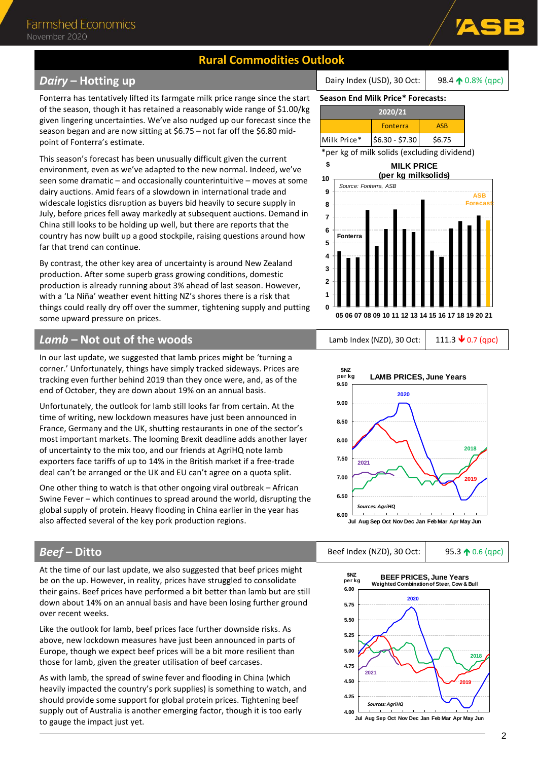### **Rural Commodities Outlook**

### <span id="page-1-0"></span>**Dairy – Hotting up Dairy 10.8%** (qpc) **Dairy Index (USD), 30 Oct:** 98.4 **10.8%** (qpc)

Fonterra has tentatively lifted its farmgate milk price range since the start of the season, though it has retained a reasonably wide range of \$1.00/kg given lingering uncertainties. We've also nudged up our forecast since the season began and are now sitting at \$6.75 – not far off the \$6.80 midpoint of Fonterra's estimate.

This season's forecast has been unusually difficult given the current environment, even as we've adapted to the new normal. Indeed, we've seen some dramatic – and occasionally counterintuitive – moves at some dairy auctions. Amid fears of a slowdown in international trade and widescale logistics disruption as buyers bid heavily to secure supply in July, before prices fell away markedly at subsequent auctions. Demand in China still looks to be holding up well, but there are reports that the country has now built up a good stockpile, raising questions around how far that trend can continue.

By contrast, the other key area of uncertainty is around New Zealand production. After some superb grass growing conditions, domestic production is already running about 3% ahead of last season. However, with a 'La Niña' weather event hitting NZ's shores there is a risk that things could really dry off over the summer, tightening supply and putting some upward pressure on prices.

#### <span id="page-1-1"></span> $Lamb - Not out of the woods$  Lamb Index (NZD), 30 Oct: 111.3  $\sqrt{ }$  0.7 (qpc)

In our last update, we suggested that lamb prices might be 'turning a corner.' Unfortunately, things have simply tracked sideways. Prices are tracking even further behind 2019 than they once were, and, as of the end of October, they are down about 19% on an annual basis.

Unfortunately, the outlook for lamb still looks far from certain. At the time of writing, new lockdown measures have just been announced in France, Germany and the UK, shutting restaurants in one of the sector's most important markets. The looming Brexit deadline adds another layer of uncertainty to the mix too, and our friends at AgriHQ note lamb exporters face tariffs of up to 14% in the British market if a free-trade deal can't be arranged or the UK and EU can't agree on a quota split.

One other thing to watch is that other ongoing viral outbreak – African Swine Fever – which continues to spread around the world, disrupting the global supply of protein. Heavy flooding in China earlier in the year has also affected several of the key pork production regions.

#### <span id="page-1-2"></span>**Beef – Ditto** 85.3 **10.6 (qpc)** Beef Index (NZD), 30 Oct: 95.3 **10.6 (qpc)**

At the time of our last update, we also suggested that beef prices might be on the up. However, in reality, prices have struggled to consolidate their gains. Beef prices have performed a bit better than lamb but are still down about 14% on an annual basis and have been losing further ground over recent weeks.

Like the outlook for lamb, beef prices face further downside risks. As above, new lockdown measures have just been announced in parts of Europe, though we expect beef prices will be a bit more resilient than those for lamb, given the greater utilisation of beef carcases.

As with lamb, the spread of swine fever and flooding in China (which heavily impacted the country's pork supplies) is something to watch, and should provide some support for global protein prices. Tightening beef supply out of Australia is another emerging factor, though it is too early to gauge the impact just yet.

**Season End Milk Price\* Forecasts:**

| 2020/21     |                 |        |  |  |
|-------------|-----------------|--------|--|--|
|             | <b>Fonterra</b> | ASB    |  |  |
| Milk Price* | $$6.30 - $7.30$ | \$6.75 |  |  |

\*per kg of milk solids (excluding dividend)







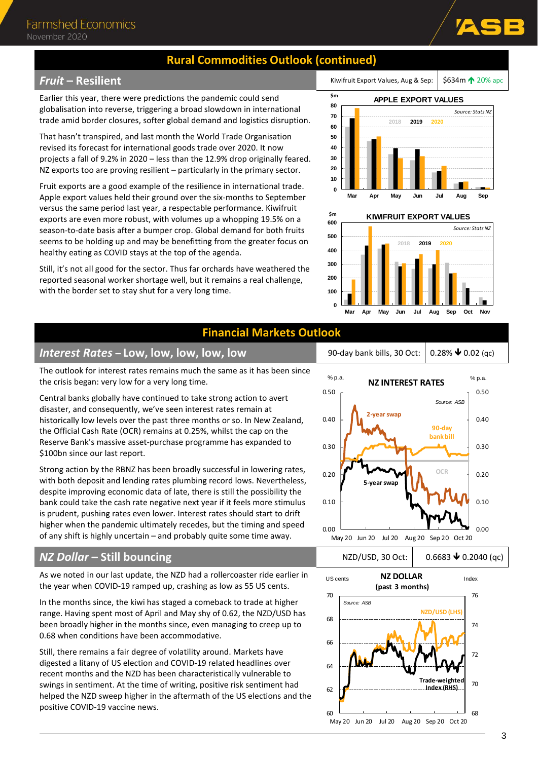### **Rural Commodities Outlook (continued)**

### **Fruit – Resilient** Kimidades August 2006 apc **Fruit Export Values, Aug & Sep:** \$634m **120%** apc

Earlier this year, there were predictions the pandemic could send globalisation into reverse, triggering a broad slowdown in international trade amid border closures, softer global demand and logistics disruption.

That hasn't transpired, and last month the World Trade Organisation revised its forecast for international goods trade over 2020. It now projects a fall of 9.2% in 2020 – less than the 12.9% drop originally feared. NZ exports too are proving resilient – particularly in the primary sector.

Fruit exports are a good example of the resilience in international trade. Apple export values held their ground over the six-months to September versus the same period last year, a respectable performance. Kiwifruit exports are even more robust, with volumes up a whopping 19.5% on a season-to-date basis after a bumper crop. Global demand for both fruits seems to be holding up and may be benefitting from the greater focus on healthy eating as COVID stays at the top of the agenda.

Still, it's not all good for the sector. Thus far orchards have weathered the reported seasonal worker shortage well, but it remains a real challenge, with the border set to stay shut for a very long time.





### **Financial Markets Outlook**

### <span id="page-2-0"></span>*Interest Rates* **– Low, low, low, low, low** 90-day bank bills, 30 Oct: 0.28% 0.02 (qc)

The outlook for interest rates remains much the same as it has been since the crisis began: very low for a very long time.

Central banks globally have continued to take strong action to avert disaster, and consequently, we've seen interest rates remain at historically low levels over the past three months or so. In New Zealand, the Official Cash Rate (OCR) remains at 0.25%, whilst the cap on the Reserve Bank's massive asset-purchase programme has expanded to \$100bn since our last report.

Strong action by the RBNZ has been broadly successful in lowering rates, with both deposit and lending rates plumbing record lows. Nevertheless, despite improving economic data of late, there is still the possibility the bank could take the cash rate negative next year if it feels more stimulus is prudent, pushing rates even lower. Interest rates should start to drift higher when the pandemic ultimately recedes, but the timing and speed of any shift is highly uncertain – and probably quite some time away.

### <span id="page-2-1"></span>*NZ Dollar* **− Still bouncing** NZD/USD, 30 Oct: 0.6683 **↓** 0.2040 (qc)

As we noted in our last update, the NZD had a rollercoaster ride earlier in the year when COVID-19 ramped up, crashing as low as 55 US cents.

In the months since, the kiwi has staged a comeback to trade at higher range. Having spent most of April and May shy of 0.62, the NZD/USD has been broadly higher in the months since, even managing to creep up to 0.68 when conditions have been accommodative.

Still, there remains a fair degree of volatility around. Markets have digested a litany of US election and COVID-19 related headlines over recent months and the NZD has been characteristically vulnerable to swings in sentiment. At the time of writing, positive risk sentiment had helped the NZD sweep higher in the aftermath of the US elections and the positive COVID-19 vaccine news.